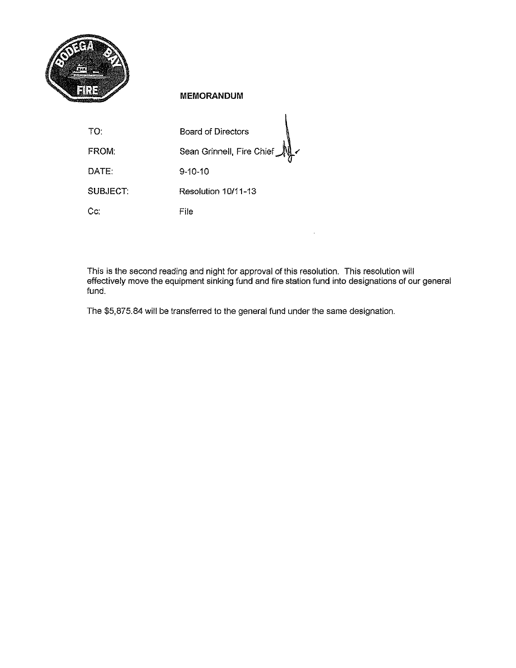

| TO:      | <b>Board of Directors</b>   |
|----------|-----------------------------|
| FROM:    | Sean Grinnell, Fire Chief M |
| DATE:    | $9 - 10 - 10$               |
| SUBJECT. | Resolution 10/11-13         |
| CC.      | File                        |

This is the second reading and night for approval of this resolution. This resolution will effectively move the equipment sinking fund and fire station fund into designations of our general fund.

 $\overline{\phantom{a}}$ 

The \$5,875.84 will be transferred to the general fund under the same designation.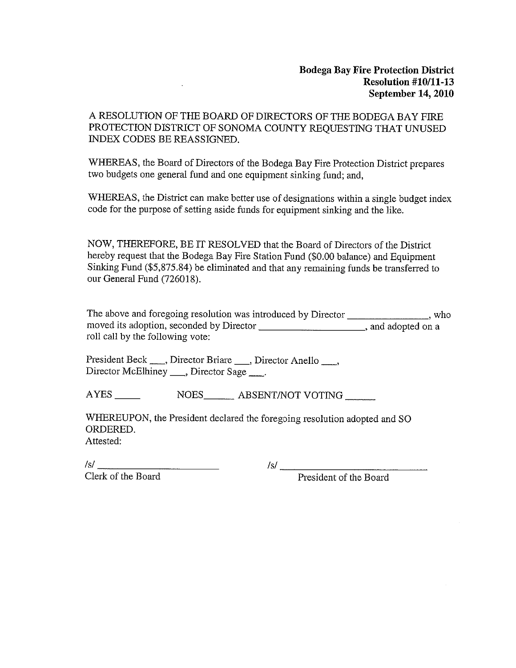A RESOLUTION OF THE BOARD OF DIRECTORS OF THE BODEGA BAY FIRE PROTECTION DISTRICT OF SONOMA COUNTY REQUESTING THAT UNUSED INDEX CODES BE REASSIGNED.

WHEREAS, the Board of Directors of the Bodega Bay Fire Protection District prepares two budgets one general fund and one equipment sinking fund; and,

WHEREAS, the District can make better use of designations within <sup>a</sup> single budget index code for the purpose of setting aside funds for equipment sinking and the like.

NOW, THEREFORE, BE ir RESOLVED that the Board of Directors of the District hereby request that the Bodega Bay Fire Station Fund (\$0.00 balance) and Equipment Sinking Fund (\$5,875.84) be eliminated and that any remaining funds be transferred to our General Fund (726018). Bodega Bay Fire Protection 21<br>
September 14<br>
September 14<br>
September 14<br>
PROTECTION DISTRICT OF SONOMA COUNTY REQUESTING THAT UNU<br>
RIMEREAS, the Board of Directors of the Bodega Bay Fire Protection District pre<br>
two budge

| The above and foregoing resolution was introduced by Director | who                |
|---------------------------------------------------------------|--------------------|
| moved its adoption, seconded by Director                      | , and adopted on a |
| roll call by the following vote:                              |                    |

President Beck <sub>—</sub>, Director Briare <sub>—</sub>, Director Anello <sub>—</sub>, Director McElhiney \_\_\_\_, Director Sage \_\_\_\_.

AYES \_\_\_\_\_\_ NOES\_\_\_\_\_ ABSENT/NOT VOTING \_\_\_\_\_

WHEREUPON, the President declared the foregoing resolution adopted and SO ORDERED. Attested:

| /s/                | 'S.                    |  |
|--------------------|------------------------|--|
| Clerk of the Board | President of the Board |  |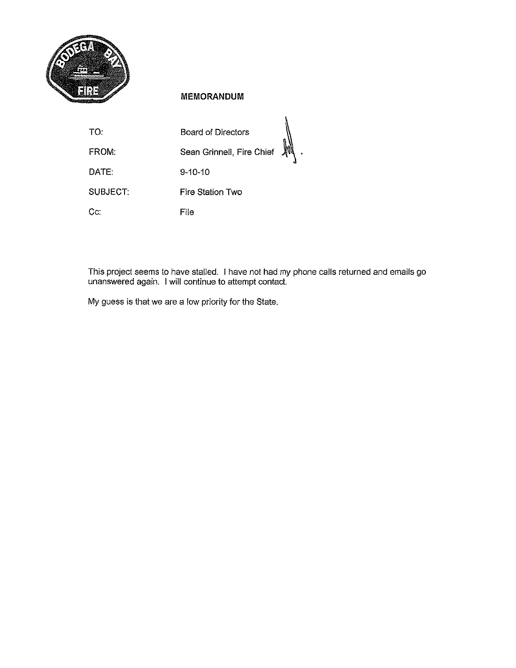

TO: Board of Directors FROM: Sean Grinnell, Fire Chief DATE: 9-10-10 SUBJECT: Fire Station Two Cc: File

This project seems to have stalled. <sup>I</sup> have not had my phone calls returned and emails go unanswered again. <sup>I</sup> will continue to attempt contact.

My guess is that we are <sup>a</sup> low priority for the State.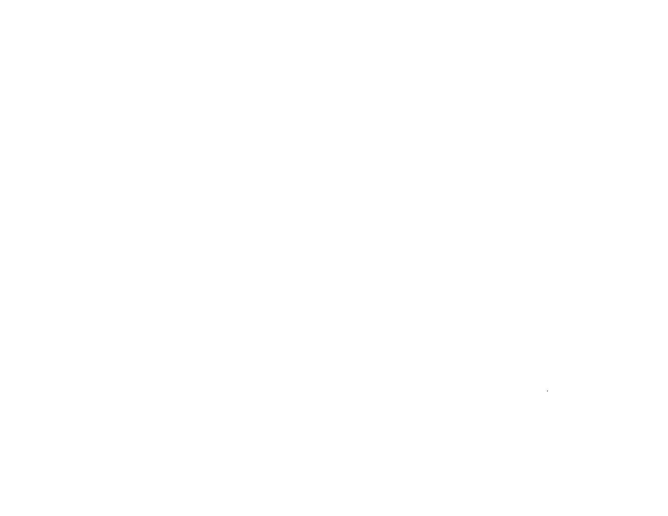$\label{eq:2.1} \frac{1}{2} \int_{\mathbb{R}^3} \frac{1}{\sqrt{2}} \, \frac{1}{\sqrt{2}} \, \frac{1}{\sqrt{2}} \, \frac{1}{\sqrt{2}} \, \frac{1}{\sqrt{2}} \, \frac{1}{\sqrt{2}} \, \frac{1}{\sqrt{2}} \, \frac{1}{\sqrt{2}} \, \frac{1}{\sqrt{2}} \, \frac{1}{\sqrt{2}} \, \frac{1}{\sqrt{2}} \, \frac{1}{\sqrt{2}} \, \frac{1}{\sqrt{2}} \, \frac{1}{\sqrt{2}} \, \frac{1}{\sqrt{2}} \, \frac{1}{\sqrt{2}} \,$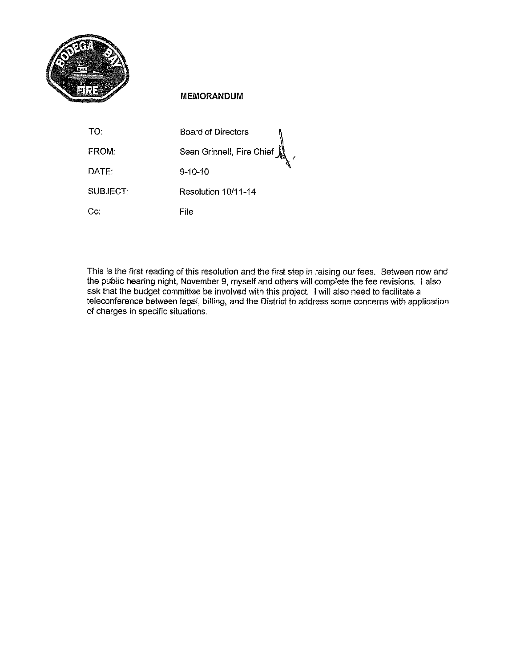

| TO:      | Board of Directors        |
|----------|---------------------------|
| FROM:    | Sean Grinnell, Fire Chief |
| DATE:    | $9 - 10 - 10$             |
| SUBJECT: | Resolution 10/11-14       |
| Cc.      | File                      |

This is the first reading of this resolution and the first step in raising our fees. Between now and the public hearing night, November <sup>9</sup> myself and others will complete the fee revisions. <sup>I</sup> also ask that the budget committee be involved with this project. <sup>I</sup> will also need to facilitate <sup>a</sup> teleconference between legal, billing, and the District to address some concerns with application of charges in specific situations,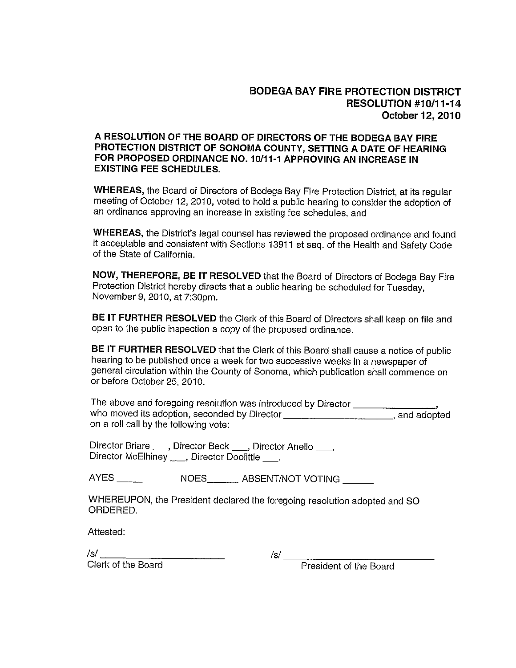## BODEGA BAY FIRE PROTECTION DISTRICT RESOLUTION #10/11-14 October 12,2010

#### A RESOLUTION OF THE BOARD OF DIRECTORS OF THE BODEGA BAY FIRE PROTECTION DISTRICT OF SONOMA COUNTY, SETTING A DATE OF HEARING FOR PROPOSED ORDINANCE NO. 10/11-1 APPROVING AN INCREASE IN EXISTING FEE SCHEDULES.

WHEREAS, the Board of Directors of Bodega Bay Fire Protection District, at its regular meeting of October 12, 2010, voted to hold a public hearing to consider the adoption of an ordinance approving an increase in existing fee schedules, and

WHEREAS, the District's legal counsel has reviewed the proposed ordinance and found it acceptable and consistent with Sections <sup>13911</sup> et seq. of the Health and Safety Code of the State of California.

NOW, THEREFORE, BE IT RESOLVED that the Board of Directors of Bodega Bay Fire Protection District hereby directs that <sup>a</sup> public hearing be scheduled for Tuesday, November 9, 2010, at 7:30pm.

BE IT FURTHER RESOLVED the Clerk of this Board of Directors shall keep on file and open to the public inspection <sup>a</sup> copy of the proposed ordinance.

BE IT FURTHER RESOLVED that the Clerk of this Board shall cause a notice of public<br>hearing to be published once a week for two successive weeks in a newspaper of<br>general circulation within the County of Sonoma, which publi or before October 25, 2010. BODEGA BAY FIRE PROTECTION DISTRIP<br>
RESOLUTION AT RESOLUTION AND COUNTY, SETTINE A DATE OR DRIVING AND WATE TO REPORPED ORDINANCE NO. 10/11-1 APPROVING AN INCRESSE IN<br>
EVAP PROPOSED ORDINANCE NO. 10/11-1 APPROVING AN INCRE **BODEGA BAY FIRE BOARD OF DIRECTORS OF THE PORTECTION OF THE BOARD OF DIRECTORS OF THE PORTECTION DISTRICT OF SONOMA COUNTY, SETTING EXISTING FEE SCHEDULES.**<br>WHEREAS, the Board of Directors of Bodega Bay Fire Protometring

who moved its adoption, seconded by Director \_\_\_\_\_\_\_\_\_\_\_\_\_\_\_\_\_\_\_\_\_, and adopted on a roll call by the following vote:

Director Briare <sub>---</sub>, Director Beck <sub>--</sub>, Director Anello <sub>--</sub>, Director McElhiney \_\_\_, Director Doolittle \_\_\_.

WHEREUPON, the President declared the foregoing resolution adopted and SO<br>ORDERED.

Attested:

Solet Clerk of the Board<br>Clerk of the Board<br>
President of the Board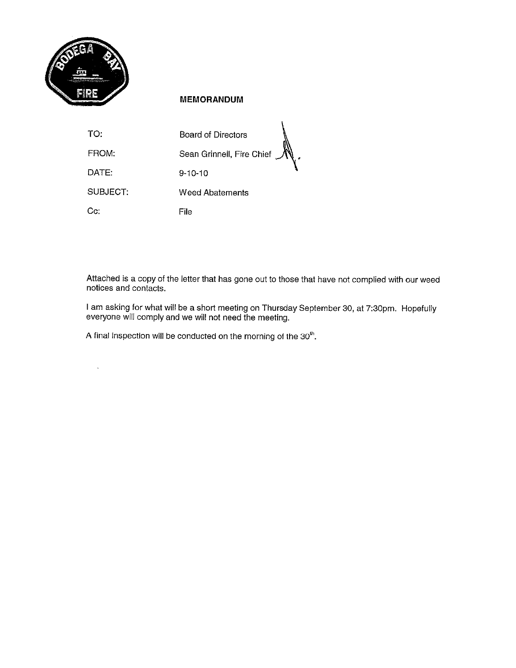

 $\hat{\mathcal{A}}$ 

## MEMORANDUM

| TO:      | <b>Board of Directors</b> |
|----------|---------------------------|
| FROM:    | Sean Grinnell, Fire Chief |
| DATE:    | $9 - 10 - 10$             |
| SUBJECT: | Weed Abatements           |
| Cc.      | File                      |

Attached is <sup>a</sup> copy of the letter that has gone out to those that have not complied with our weed notices and contacts.

<sup>I</sup> am asking for what will be <sup>a</sup> short meeting on Thursday September 30, at 7:30pm. Hopefully everyone will comply and we will not need the meeting.

A final inspection will be conducted on the morning of the  $30<sup>th</sup>$ .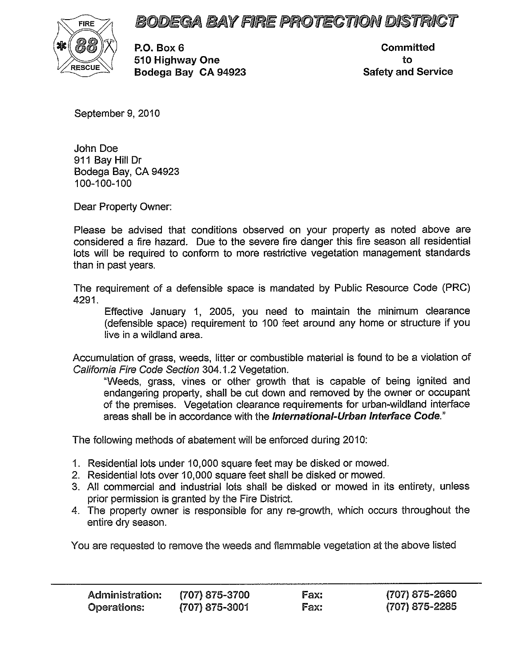FIRE  $Z$  BODEGA BAY FIRE PROTECTION DISTRICT



 $\mathcal{H}(\mathcal{BB})|\mathcal{X}\rangle$  R.O. Box 6 Committed <sup>510</sup> Highway One to RESCUE Bodega Bay CA <sup>94923</sup> Safety and Service

September 9, 2010

John Doe 911 Bay Hill Dr Bodega Bay, CA 94923 100-100

Dear Property Owner:

Please be advised that conditions observed on your property as noted above are considered <sup>a</sup> fire hazard. Due to the severe fire danger this fire season all residential lots will be required to conform to more restrictive vegetation management standards than in past years.

The requirement of <sup>a</sup> defensible space is mandated by Public Resource Code (PRC) 4291.

Effective January 1, 2005, you need to maintain the minimum clearance (defensible space) requirement to <sup>100</sup> feet around any home or structure if YOU live in a wildland area.

Accumulation of grass, weeds, litter or combustible material is found to be <sup>a</sup> violation of California Fire Code Section 304.1.2 Vegetation.

"Weeds, grass, vines or other growth that is capable of being ignited and endangering property, shall be cut down and removed by the owner or occupant of the premises. Vegetation clearance requirements for urban-wildland interface areas shall be in accordance with the *International-Urban Interface Code*."

The following methods of abatement will be enforced during 2010:

- 1. Residential lots under 10,000 square feet may be disked or mowed.
- 2. Residential lots over 10,000 square feet shall be disked or mowed.
- 3. All commercial and industrial lots shall be disked or mowed in its entirety, unless prior permission is granted by the Fire District.
- 4. The property owner is responsible for any re-growth, which occurs throughout the entire dry season.

You are requested to remove the weeds and flammable vegetation at the above listed

| <b>Administration:</b> | (707) 875-3700 | Fax: | (707) 875-2660 |
|------------------------|----------------|------|----------------|
| Operations:            | (707) 875-3001 | Fax: | (707) 875-2285 |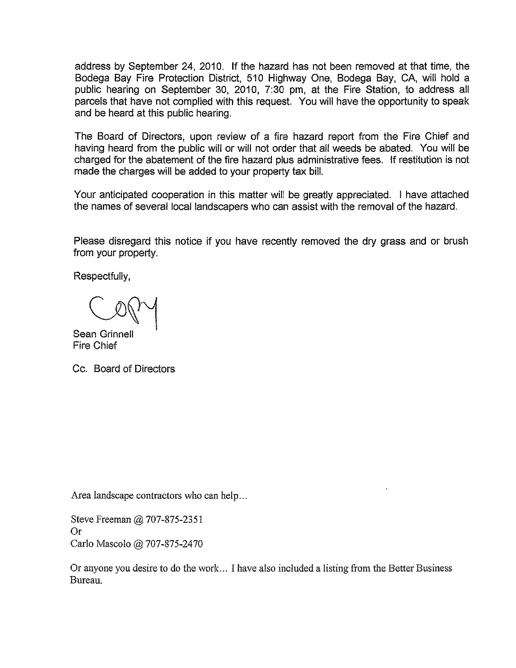address by September 24, 2010. If the hazard has not been removed at that time, the Bodega Bay Fire Protection District, 510 Highway One, Bodega Bay, CA, will hold <sup>a</sup> public hearing on September 30, 2010, 7:30 pm, at the Fire Station, to address all parcels that have not complied with this request. You will have the opportunity to speak and be heard at this public hearing.

The Board of Directors, upon review of <sup>a</sup> fire hazard report from the Fire Chief and having heard from the public will or will not order that all weeds be abated. You will be charged for the abatement of the fire hazard plus administrative fees. If restitution is not made the charges will be added to your property tax bill.

Your anticipated cooperation in this matter will be greatly appreciated. I have attached the names of several local landscapers who can assist with the removal of the hazard.

Please disregard this notice if you have recently removed the dry grass and or brush from your property.

Respectfully,

Sean Grinnell Fire Chief

Cc. Board of Directors

Area landscape contractors who can help...

Steve Freeman @ 707-875-2351 Or Carlo Mascolo @ 707-875-2470

Or anyone you desire to do the work... <sup>I</sup> have also included <sup>a</sup> listing from the Better Business Bureau.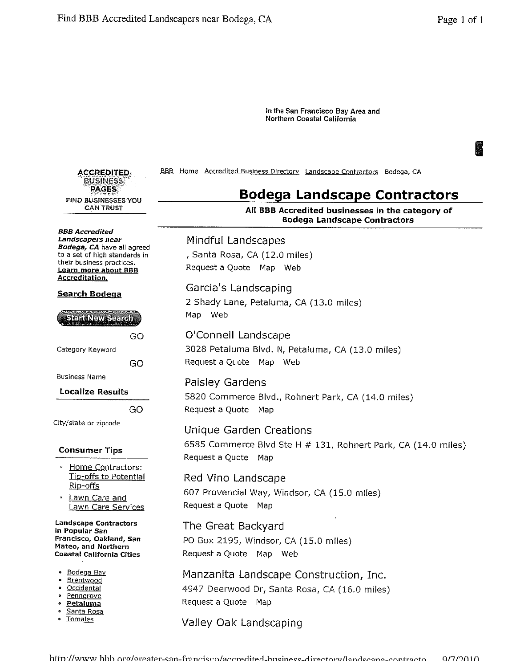**ENDER** 

In the San Francisco Bay Area and Northern Coastal California

BBB Home Accredited Business Directory Landscape Contractors Bodega, CA

# Bodega Landscape Contractors

All BBB Accredited businesses in the category of Bodega Landscape Contractors

## Mindful Landscapes

Santa Rosa, CA (12.0 miles) Request <sup>a</sup> Quote Map Web

## Garcia's Landscaping

<sup>2</sup> Shady Lane, Petaluma, CA (13.0 miles) Map Web

## O'Connell Landscape

3028 Petaluma Blvd. N, Petaluma, CA (13.0 miles) Request <sup>a</sup> Quote Map Web

## Paisley Gardens

5820 Commerce Blvd., Rohnert Park, CA (14.0 miles) Request <sup>a</sup> Quote Map

## Unique Garden Creations

6585 Commerce Blvd Ste H # 131, Rohnert Park, CA (14.0 miles) Request <sup>a</sup> Quote Map

## Red Vino Landscape 607 Provencial Way, Windsor, CA (15.0 miles) Request <sup>a</sup> Quote Map

The Great Backyard PC Box 2195, Windsor, CA (15.0 miles) Request <sup>a</sup> Quote Map Web

## Manzanita Landscape Construction, Inc. 4947 Deerwood Dr, Santa Rosa, CA (16.0 miles) Request <sup>a</sup> Quote Map

## Valley Oak Landscaping

httn://www.hhh-org/greater-san-francisco/accredited-business-directory/landscape-contracto Q/7/2010

**ACCREDITED**<br>BUSINESS PAGES FIND BUSINESSES YOU CAN TRUST

## BBB Accredited

Landscapers near Bodega, CA have all agreed to <sup>a</sup> set of high standards in their business practices.<br>Learn more about BBB Accreditation.

## Search Bodega



#### Localize Results

GO

City/state or zipcode

#### Consumer Tips

- Home Contractors: Tip—offs to Potential Rip-offs
- **Lawn Care and** Lawn Care Services

Landscape Contractors in Popular San Francisco, Oakland, San Mateo, and Northern Coastal California Cities

- Bodega Bay
- **b** Brentwood
- <sup>o</sup> Occidental
- Penngrove • <u>Petaluma</u>
- Santa Rosa
- <u>Tomales</u>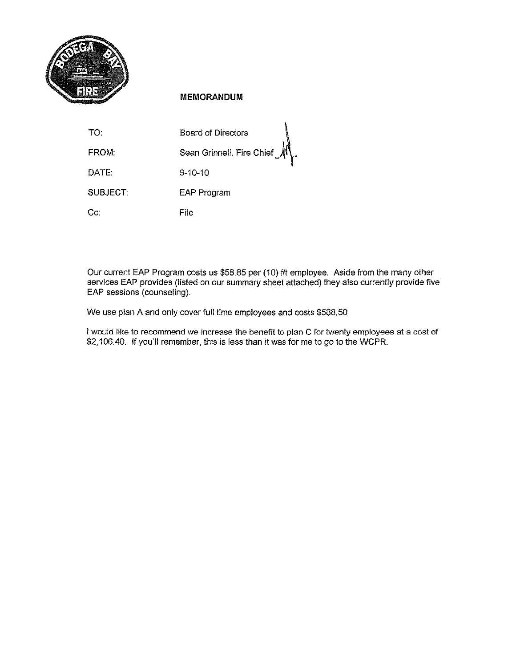

| TO:      | Board of Directors                                      |
|----------|---------------------------------------------------------|
| FROM.    | Sean Grinnell, Fire Chief $\mathcal{M}_{\mathcal{V}}$ . |
| DATE:    | $9 - 10 - 10$                                           |
| SUBJECT: | <b>EAP Program</b>                                      |
| Cc.      | File                                                    |

Our current EAP Program costs us \$58.85 per (10) f/t employee. Aside from the many other services EAP provides (listed on our summary sheet attached) they also currently provide five EAP sessions (counseling).

We use plan A and only cover full time employees and costs \$588.50

I would like to recommend we increase the benefit to plan C for twenty employees at <sup>a</sup> cost of \$2,106.40. If you'll remember, this is less than it was for me to go to the WCPR.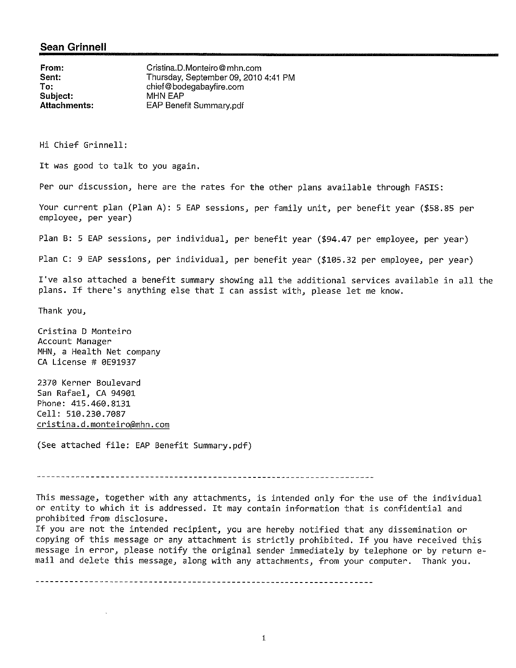#### Sean Grinnell

| From:               | Cristina.D.Monteiro@mhn.com          |
|---------------------|--------------------------------------|
| Sent:               | Thursday, September 09, 2010 4:41 PM |
| To:                 | chief@bodegabayfire.com              |
| Subject:            | <b>MHN FAP</b>                       |
| <b>Attachments:</b> | <b>EAP Benefit Summary.pdf</b>       |

Hi Chief Grinnell:

It was good to talk to you again.

Per our discussion, here are the rates for the other plans available through FASIS:

Your current plan (Plan A): <sup>5</sup> EAP sessions, per family unit, per benefit year (\$58.85 per employee, per year)

Plan B: <sup>5</sup> EAP sessions, per individual, per benefit year (\$94.47 per employee, per year)

Plan C: <sup>9</sup> EAP sessions, per individual, per benefit year (\$105.32 per employee, per year)

I've also attached <sup>a</sup> benefit summary showing all the additional services available in all the plans. If there's anything else that <sup>I</sup> can assist with, please let me know.

Thank you,

Cristina 0 Monteiro Account Manager MHN, <sup>a</sup> Health Net company CA License # 0E91937

2370 Kerner Boulevard San Rafael, CA 94901 Phone: 415.460.8131 Cell: 510.230.7087 cristina.d.monteiro@mhn.com

(See attached file: EAP Benefit Summary.pdf)

This message, together with any attachments, is intended only for the use of the individual or entity to which it is addressed. It may contain information that is confidential and prohibited from disclosure. If you are not the intended recipient, you are hereby notified that any dissemination or

copying of this message or any attachment is strictly prohibited. If you have received this message in error, please notify the original sender immediately by telephone or by return <sup>e</sup> mail and delete this message, along with any attachments, from your computer. Thank you.